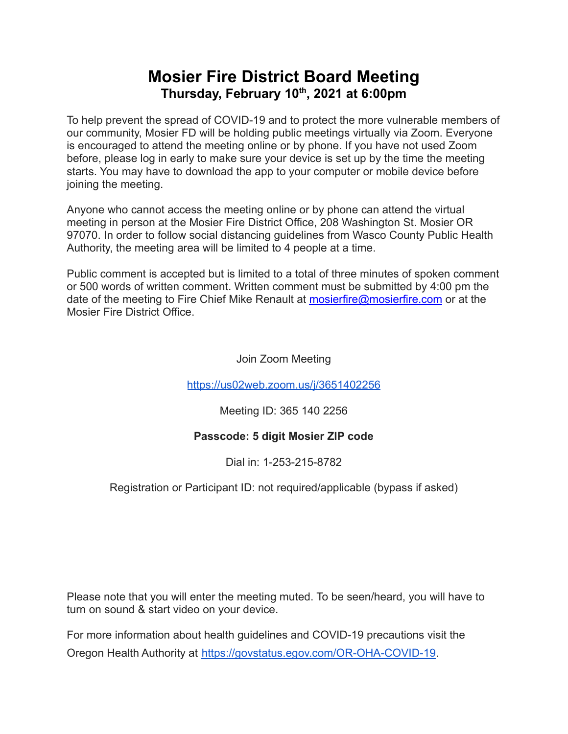## **Mosier Fire District Board Meeting Thursday, February 10 th , 2021 at 6:00pm**

To help prevent the spread of COVID-19 and to protect the more vulnerable members of our community, Mosier FD will be holding public meetings virtually via Zoom. Everyone is encouraged to attend the meeting online or by phone. If you have not used Zoom before, please log in early to make sure your device is set up by the time the meeting starts. You may have to download the app to your computer or mobile device before joining the meeting.

Anyone who cannot access the meeting online or by phone can attend the virtual meeting in person at the Mosier Fire District Office, 208 Washington St. Mosier OR 97070. In order to follow social distancing guidelines from Wasco County Public Health Authority, the meeting area will be limited to 4 people at a time.

Public comment is accepted but is limited to a total of three minutes of spoken comment or 500 words of written comment. Written comment must be submitted by 4:00 pm the date of the meeting to Fire Chief Mike Renault at [mosierfire@mosierfire.com](mailto:mosierfire@mosierfire.com) or at the Mosier Fire District Office.

Join Zoom Meeting

<https://us02web.zoom.us/j/3651402256>

Meeting ID: 365 140 2256

### **Passcode: 5 digit Mosier ZIP code**

Dial in: 1-253-215-8782

### Registration or Participant ID: not required/applicable (bypass if asked)

Please note that you will enter the meeting muted. To be seen/heard, you will have to turn on sound & start video on your device.

For more information about health guidelines and COVID-19 precautions visit the Oregon Health Authority at [https://govstatus.egov.com/OR-OHA-COVID-19.](https://govstatus.egov.com/OR-OHA-COVID-19)